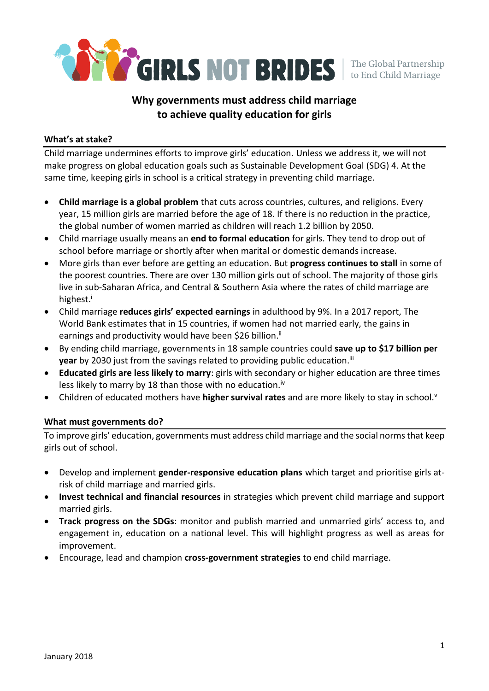

# **Why governments must address child marriage to achieve quality education for girls**

#### **What's at stake?**

Child marriage undermines efforts to improve girls' education. Unless we address it, we will not make progress on global education goals such as Sustainable Development Goal (SDG) 4. At the same time, keeping girls in school is a critical strategy in preventing child marriage.

- **Child marriage is a global problem** that cuts across countries, cultures, and religions. Every year, 15 million girls are married before the age of 18. If there is no reduction in the practice, the global number of women married as children will reach 1.2 billion by 2050.
- Child marriage usually means an **end to formal education** for girls. They tend to drop out of school before marriage or shortly after when marital or domestic demands increase.
- More girls than ever before are getting an education. But **progress continues to stall** in some of the poorest countries. There are over 130 million girls out of school. The majority of those girls live in sub-Saharan Africa, and Central & Southern Asia where the rates of child marriage are highest.<sup>i</sup>
- Child marriage **reduces girls' expected earnings** in adulthood by 9%. In a 2017 report, The World Bank estimates that in 15 countries, if women had not married early, the gains in earnings and productivity would have been \$26 billion.<sup>ii</sup>
- By ending child marriage, governments in 18 sample countries could **save up to \$17 billion per year** by 2030 just from the savings related to providing public education.<sup>iii</sup>
- **Educated girls are less likely to marry**: girls with secondary or higher education are three times less likely to marry by 18 than those with no education.<sup>iv</sup>
- Children of educated mothers have **higher survival rates** and are more likely to stay in school.<sup>v</sup>

#### **What must governments do?**

To improve girls' education, governments must address child marriage and the social norms that keep girls out of school.

- Develop and implement **gender-responsive education plans** which target and prioritise girls atrisk of child marriage and married girls.
- **Invest technical and financial resources** in strategies which prevent child marriage and support married girls.
- **Track progress on the SDGs**: monitor and publish married and unmarried girls' access to, and engagement in, education on a national level. This will highlight progress as well as areas for improvement.
- Encourage, lead and champion **cross-government strategies** to end child marriage.